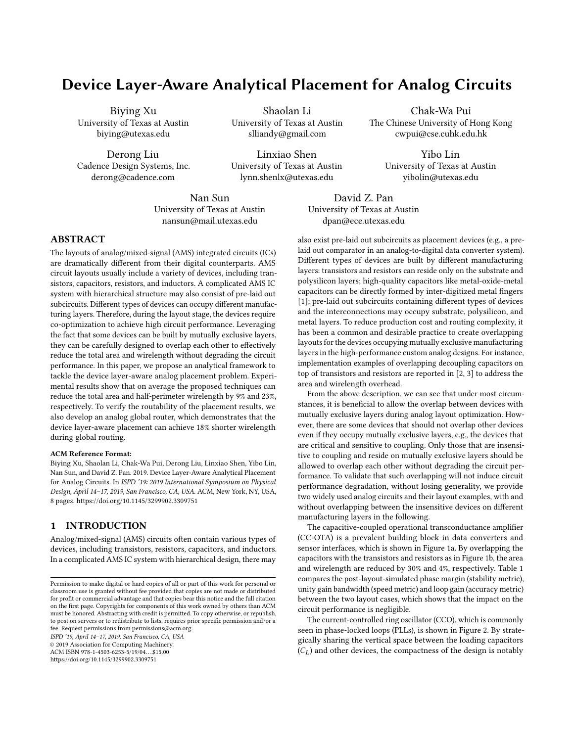# Device Layer-Aware Analytical Placement for Analog Circuits

Biying Xu University of Texas at Austin biying@utexas.edu

Derong Liu Cadence Design Systems, Inc. derong@cadence.com

Shaolan Li University of Texas at Austin slliandy@gmail.com

Linxiao Shen University of Texas at Austin lynn.shenlx@utexas.edu

Nan Sun University of Texas at Austin nansun@mail.utexas.edu

Chak-Wa Pui The Chinese University of Hong Kong cwpui@cse.cuhk.edu.hk

> Yibo Lin University of Texas at Austin yibolin@utexas.edu

ABSTRACT

The layouts of analog/mixed-signal (AMS) integrated circuits (ICs) are dramatically different from their digital counterparts. AMS circuit layouts usually include a variety of devices, including transistors, capacitors, resistors, and inductors. A complicated AMS IC system with hierarchical structure may also consist of pre-laid out subcircuits. Different types of devices can occupy different manufacturing layers. Therefore, during the layout stage, the devices require co-optimization to achieve high circuit performance. Leveraging the fact that some devices can be built by mutually exclusive layers, they can be carefully designed to overlap each other to effectively reduce the total area and wirelength without degrading the circuit performance. In this paper, we propose an analytical framework to tackle the device layer-aware analog placement problem. Experimental results show that on average the proposed techniques can reduce the total area and half-perimeter wirelength by 9% and 23%, respectively. To verify the routability of the placement results, we also develop an analog global router, which demonstrates that the device layer-aware placement can achieve 18% shorter wirelength during global routing.

#### ACM Reference Format:

Biying Xu, Shaolan Li, Chak-Wa Pui, Derong Liu, Linxiao Shen, Yibo Lin, Nan Sun, and David Z. Pan. 2019. Device Layer-Aware Analytical Placement for Analog Circuits. In ISPD '19: 2019 International Symposium on Physical Design, April 14–17, 2019, San Francisco, CA, USA. ACM, New York, NY, USA, [8](#page-7-0) pages.<https://doi.org/10.1145/3299902.3309751>

# 1 INTRODUCTION

Analog/mixed-signal (AMS) circuits often contain various types of devices, including transistors, resistors, capacitors, and inductors. In a complicated AMS IC system with hierarchical design, there may

ISPD '19, April 14–17, 2019, San Francisco, CA, USA

© 2019 Association for Computing Machinery.

ACM ISBN 978-1-4503-6253-5/19/04. . . \$15.00

<https://doi.org/10.1145/3299902.3309751>

David Z. Pan University of Texas at Austin dpan@ece.utexas.edu

also exist pre-laid out subcircuits as placement devices (e.g., a prelaid out comparator in an analog-to-digital data converter system). Different types of devices are built by different manufacturing layers: transistors and resistors can reside only on the substrate and polysilicon layers; high-quality capacitors like metal-oxide-metal capacitors can be directly formed by inter-digitized metal fingers [\[1\]](#page-7-1); pre-laid out subcircuits containing different types of devices and the interconnections may occupy substrate, polysilicon, and metal layers. To reduce production cost and routing complexity, it has been a common and desirable practice to create overlapping layouts for the devices occupying mutually exclusive manufacturing layers in the high-performance custom analog designs. For instance, implementation examples of overlapping decoupling capacitors on top of transistors and resistors are reported in [\[2,](#page-7-2) [3\]](#page-7-3) to address the area and wirelength overhead.

From the above description, we can see that under most circumstances, it is beneficial to allow the overlap between devices with mutually exclusive layers during analog layout optimization. However, there are some devices that should not overlap other devices even if they occupy mutually exclusive layers, e.g., the devices that are critical and sensitive to coupling. Only those that are insensitive to coupling and reside on mutually exclusive layers should be allowed to overlap each other without degrading the circuit performance. To validate that such overlapping will not induce circuit performance degradation, without losing generality, we provide two widely used analog circuits and their layout examples, with and without overlapping between the insensitive devices on different manufacturing layers in the following.

The capacitive-coupled operational transconductance amplifier (CC-OTA) is a prevalent building block in data converters and sensor interfaces, which is shown in Figure [1a.](#page-1-0) By overlapping the capacitors with the transistors and resistors as in Figure [1b,](#page-1-1) the area and wirelength are reduced by 30% and 4%, respectively. Table [1](#page-1-2) compares the post-layout-simulated phase margin (stability metric), unity gain bandwidth (speed metric) and loop gain (accuracy metric) between the two layout cases, which shows that the impact on the circuit performance is negligible.

The current-controlled ring oscillator (CCO), which is commonly seen in phase-locked loops (PLLs), is shown in Figure [2.](#page-1-3) By strategically sharing the vertical space between the loading capacitors  $(C<sub>L</sub>)$  and other devices, the compactness of the design is notably

Permission to make digital or hard copies of all or part of this work for personal or classroom use is granted without fee provided that copies are not made or distributed for profit or commercial advantage and that copies bear this notice and the full citation on the first page. Copyrights for components of this work owned by others than ACM must be honored. Abstracting with credit is permitted. To copy otherwise, or republish, to post on servers or to redistribute to lists, requires prior specific permission and/or a fee. Request permissions from permissions@acm.org.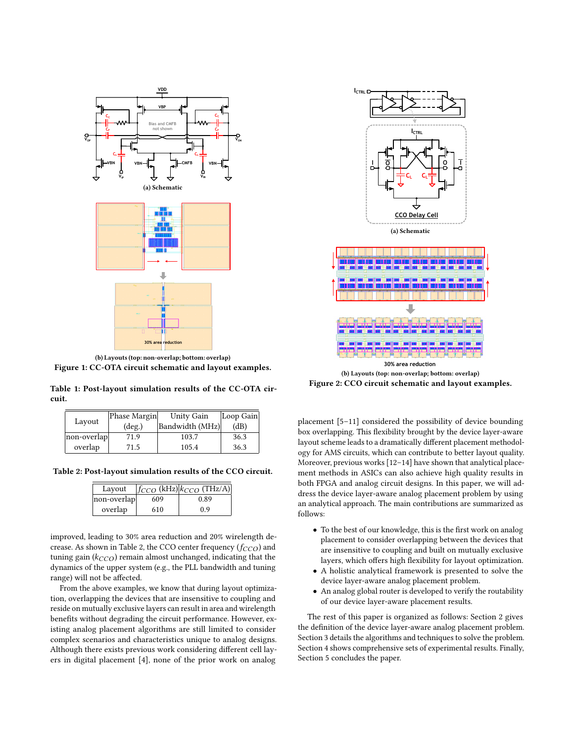<span id="page-1-1"></span><span id="page-1-0"></span>

(b) Layouts (top: non-overlap; bottom: overlap) Figure 1: CC-OTA circuit schematic and layout examples.

<span id="page-1-2"></span>Table 1: Post-layout simulation results of the CC-OTA circuit.

|             | Phase Margin    | Unity Gain      | Loop Gain |
|-------------|-----------------|-----------------|-----------|
| Layout      | $(\text{deg.})$ | Bandwidth (MHz) | (dB)      |
| non-overlap | 71.9            | 103.7           | 36.3      |
| overlap     | 71.5            | 105.4           | 36.3      |

<span id="page-1-4"></span>Table 2: Post-layout simulation results of the CCO circuit.

| Layout      |     | $ f_{CCO}$ (kHz) $ k_{CCO}$ (THz/A) |
|-------------|-----|-------------------------------------|
| non-overlap | 609 | 0.89                                |
| overlap     | 610 | 0.9                                 |

improved, leading to 30% area reduction and 20% wirelength de-crease. As shown in Table [2,](#page-1-4) the CCO center frequency ( $f_{CCO}$ ) and tuning gain  $(k_{CCO})$  remain almost unchanged, indicating that the dynamics of the upper system (e.g., the PLL bandwidth and tuning range) will not be affected.

From the above examples, we know that during layout optimization, overlapping the devices that are insensitive to coupling and reside on mutually exclusive layers can result in area and wirelength benefits without degrading the circuit performance. However, existing analog placement algorithms are still limited to consider complex scenarios and characteristics unique to analog designs. Although there exists previous work considering different cell layers in digital placement [\[4\]](#page-7-4), none of the prior work on analog

<span id="page-1-3"></span>

(b) Layouts (top: non-overlap; bottom: overlap) Figure 2: CCO circuit schematic and layout examples.

placement [\[5–](#page-7-5)[11\]](#page-7-6) considered the possibility of device bounding box overlapping. This flexibility brought by the device layer-aware layout scheme leads to a dramatically different placement methodology for AMS circuits, which can contribute to better layout quality. Moreover, previous works [\[12](#page-7-7)[–14\]](#page-7-8) have shown that analytical placement methods in ASICs can also achieve high quality results in both FPGA and analog circuit designs. In this paper, we will address the device layer-aware analog placement problem by using an analytical approach. The main contributions are summarized as follows:

- To the best of our knowledge, this is the first work on analog placement to consider overlapping between the devices that are insensitive to coupling and built on mutually exclusive layers, which offers high flexibility for layout optimization.
- A holistic analytical framework is presented to solve the device layer-aware analog placement problem.
- An analog global router is developed to verify the routability of our device layer-aware placement results.

The rest of this paper is organized as follows: Section [2](#page-2-0) gives the definition of the device layer-aware analog placement problem. Section [3](#page-2-1) details the algorithms and techniques to solve the problem. Section [4](#page-5-0) shows comprehensive sets of experimental results. Finally, Section [5](#page-6-0) concludes the paper.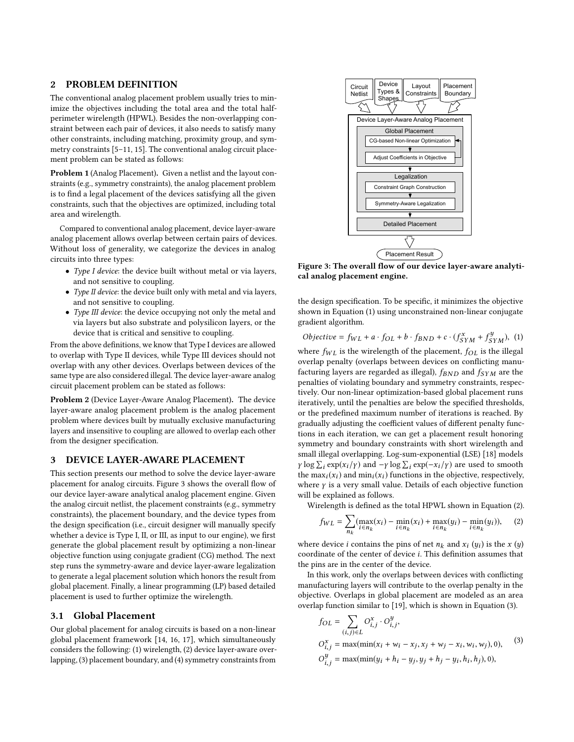### <span id="page-2-0"></span>2 PROBLEM DEFINITION

The conventional analog placement problem usually tries to minimize the objectives including the total area and the total halfperimeter wirelength (HPWL). Besides the non-overlapping constraint between each pair of devices, it also needs to satisfy many other constraints, including matching, proximity group, and symmetry constraints [\[5](#page-7-5)[–11,](#page-7-6) [15\]](#page-7-9). The conventional analog circuit placement problem can be stated as follows:

Problem 1 (Analog Placement). Given a netlist and the layout constraints (e.g., symmetry constraints), the analog placement problem is to find a legal placement of the devices satisfying all the given constraints, such that the objectives are optimized, including total area and wirelength.

Compared to conventional analog placement, device layer-aware analog placement allows overlap between certain pairs of devices. Without loss of generality, we categorize the devices in analog circuits into three types:

- Type I device: the device built without metal or via layers, and not sensitive to coupling.
- Type II device: the device built only with metal and via layers, and not sensitive to coupling.
- Type III device: the device occupying not only the metal and via layers but also substrate and polysilicon layers, or the device that is critical and sensitive to coupling.

From the above definitions, we know that Type I devices are allowed to overlap with Type II devices, while Type III devices should not overlap with any other devices. Overlaps between devices of the same type are also considered illegal. The device layer-aware analog circuit placement problem can be stated as follows:

Problem 2 (Device Layer-Aware Analog Placement). The device layer-aware analog placement problem is the analog placement problem where devices built by mutually exclusive manufacturing layers and insensitive to coupling are allowed to overlap each other from the designer specification.

#### <span id="page-2-1"></span>3 DEVICE LAYER-AWARE PLACEMENT

This section presents our method to solve the device layer-aware placement for analog circuits. Figure [3](#page-2-2) shows the overall flow of our device layer-aware analytical analog placement engine. Given the analog circuit netlist, the placement constraints (e.g., symmetry constraints), the placement boundary, and the device types from the design specification (i.e., circuit designer will manually specify whether a device is Type I, II, or III, as input to our engine), we first generate the global placement result by optimizing a non-linear objective function using conjugate gradient (CG) method. The next step runs the symmetry-aware and device layer-aware legalization to generate a legal placement solution which honors the result from global placement. Finally, a linear programming (LP) based detailed placement is used to further optimize the wirelength.

### 3.1 Global Placement

Our global placement for analog circuits is based on a non-linear global placement framework [\[14,](#page-7-8) [16,](#page-7-10) [17\]](#page-7-11), which simultaneously considers the following: (1) wirelength, (2) device layer-aware overlapping, (3) placement boundary, and (4) symmetry constraints from

<span id="page-2-2"></span>

Figure 3: The overall flow of our device layer-aware analytical analog placement engine.

the design specification. To be specific, it minimizes the objective shown in Equation [\(1\)](#page-2-3) using unconstrained non-linear conjugate gradient algorithm.

<span id="page-2-3"></span>
$$
Objective = f_{WL} + a \cdot f_{OL} + b \cdot f_{BND} + c \cdot (f_{SYM}^x + f_{SYM}^y), \tag{1}
$$

where  $f_{WL}$  is the wirelength of the placement,  $f_{OL}$  is the illegal overlap penalty (overlaps between devices on conflicting manuoverlap penalty (overlaps between devices on conflicting manufacturing layers are regarded as illegal),  $f_{BND}$  and  $f_{SYM}$  are the penalties of violating boundary and symmetry constraints, respectively. Our non-linear optimization-based global placement runs iteratively, until the penalties are below the specified thresholds, or the predefined maximum number of iterations is reached. By gradually adjusting the coefficient values of different penalty functions in each iteration, we can get a placement result honoring symmetry and boundary constraints with short wirelength and small illegal overlapping. Log-sum-exponential (LSE) [\[18\]](#page-7-12) models y log  $\sum_i \exp(x_i / y)$  and  $-\gamma \log \sum_i \exp(-x_i / y)$  are used to smooth the max $(x_i)$  and min  $(x_i)$  functions in the objective respectively the  $\max_i(x_i)$  and  $\min_i(x_i)$  functions in the objective, respectively, where  $x$  is a very small value. Details of each objective function where  $\gamma$  is a very small value. Details of each objective function will be explained as follows.

Wirelength is defined as the total HPWL shown in Equation [\(2\)](#page-2-4).

<span id="page-2-4"></span>
$$
f_{WL} = \sum_{n_k} (\max_{i \in n_k} (x_i) - \min_{i \in n_k} (x_i) + \max_{i \in n_k} (y_i) - \min_{i \in n_k} (y_i)), \quad (2)
$$

where device *i* contains the pins of net  $n_k$  and  $x_i$  ( $y_i$ ) is the  $x$  ( $y$ ) coordinate of the center of device *i*. This definition assumes that coordinate of the center of device i. This definition assumes that the pins are in the center of the device.

In this work, only the overlaps between devices with conflicting manufacturing layers will contribute to the overlap penalty in the objective. Overlaps in global placement are modeled as an area overlap function similar to [\[19\]](#page-7-13), which is shown in Equation [\(3\)](#page-2-5).

<span id="page-2-5"></span>
$$
f_{OL} = \sum_{(i,j)\in L} O_{i,j}^{x} \cdot O_{i,j}^{y},
$$
  
\n
$$
O_{i,j}^{x} = \max(\min(x_i + w_i - x_j, x_j + w_j - x_i, w_i, w_j), 0),
$$
  
\n
$$
O_{i,j}^{y} = \max(\min(y_i + h_i - y_j, y_j + h_j - y_i, h_i, h_j), 0),
$$
\n(3)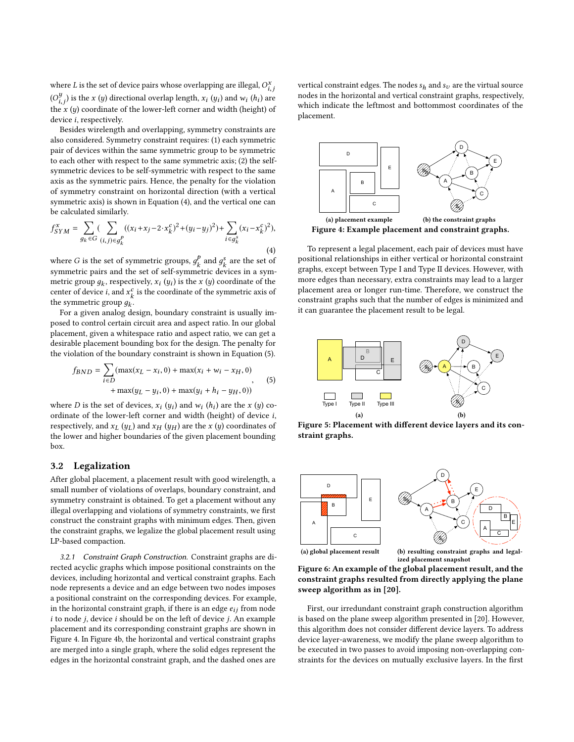where L is the set of device pairs whose overlapping are illegal,  $O_{i,j}^x$  $(O_{i,j}^{y})$  is the x (y) directional overlap length,  $x_i(y_i)$  and  $w_i(h_i)$  are<br>the violence directional of the layers and width (height) of the  $x$  (y) coordinate of the lower-left corner and width (height) of device i reconstitutive device i, respectively.

Besides wirelength and overlapping, symmetry constraints are also considered. Symmetry constraint requires: (1) each symmetric pair of devices within the same symmetric group to be symmetric to each other with respect to the same symmetric axis; (2) the selfsymmetric devices to be self-symmetric with respect to the same axis as the symmetric pairs. Hence, the penalty for the violation of symmetry constraint on horizontal direction (with a vertical symmetric axis) is shown in Equation [\(4\)](#page-3-0), and the vertical one can be calculated similarly.

<span id="page-3-0"></span>
$$
f_{SYM}^{x} = \sum_{g_k \in G} (\sum_{(i,j)\in g_k^p} ((x_i + x_j - 2 \cdot x_k^c)^2 + (y_i - y_j)^2) + \sum_{i \in g_k^s} (x_i - x_k^c)^2),
$$
\n(4)

where G is the set of symmetric groups,  $g_k^p$ <br>symmetric pairs and the set of self-symmetric  $\frac{d}{k}$  and  $g_k^s$ <br>etric dev are the set of symmetric pairs and the set of self-symmetric devices in a symmetric group  $g_k$ , respectively,  $x_i(y_i)$  is the x (y) coordinate of the content of device i and  $x^c$  is the coordinate of the symmetric axis of center of device *i*, and  $x_k^c$  is the coordinate of the symmetric axis of the symmetric aroun  $a_k$ the symmetric group  $g_k$ .<br>For a given analog de

For a given analog design, boundary constraint is usually imposed to control certain circuit area and aspect ratio. In our global placement, given a whitespace ratio and aspect ratio, we can get a desirable placement bounding box for the design. The penalty for the violation of the boundary constraint is shown in Equation [\(5\)](#page-3-1).

<span id="page-3-1"></span>
$$
f_{BND} = \sum_{i \in D} (\max(x_L - x_i, 0) + \max(x_i + w_i - x_H, 0) + \max(y_L - y_i, 0) + \max(y_i + h_i - y_H, 0))
$$
(5)

where D is the set of devices,  $x_i(y_i)$  and  $w_i(h_i)$  are the x (y) co-<br>ordinate of the lower-left corner and width (height) of device i ordinate of the lower-left corner and width (height) of device i, respectively, and  $x_L(y_L)$  and  $x_H(y_H)$  are the  $x(y)$  coordinates of the lower and higher boundaries of the given placement bounding box.

# 3.2 Legalization

After global placement, a placement result with good wirelength, a small number of violations of overlaps, boundary constraint, and symmetry constraint is obtained. To get a placement without any illegal overlapping and violations of symmetry constraints, we first construct the constraint graphs with minimum edges. Then, given the constraint graphs, we legalize the global placement result using LP-based compaction.

3.2.1 Constraint Graph Construction. Constraint graphs are directed acyclic graphs which impose positional constraints on the devices, including horizontal and vertical constraint graphs. Each node represents a device and an edge between two nodes imposes a positional constraint on the corresponding devices. For example, in the horizontal constraint graph, if there is an edge  $e_{ij}$  from node  $i$  to node  $j$ , device  $i$  should be on the left of device  $j$ . An example placement and its corresponding constraint graphs are shown in Figure [4.](#page-3-2) In Figure [4b,](#page-3-3) the horizontal and vertical constraint graphs are merged into a single graph, where the solid edges represent the edges in the horizontal constraint graph, and the dashed ones are

vertical constraint edges. The nodes  $s_h$  and  $s_v$  are the virtual source nodes in the horizontal and vertical constraint graphs, respectively, which indicate the leftmost and bottommost coordinates of the placement.

<span id="page-3-2"></span>

<span id="page-3-3"></span>To represent a legal placement, each pair of devices must have positional relationships in either vertical or horizontal constraint graphs, except between Type I and Type II devices. However, with more edges than necessary, extra constraints may lead to a larger placement area or longer run-time. Therefore, we construct the constraint graphs such that the number of edges is minimized and it can guarantee the placement result to be legal.

<span id="page-3-4"></span>

Figure 5: Placement with different device layers and its constraint graphs.

<span id="page-3-6"></span><span id="page-3-5"></span>

(a) global placement result

<span id="page-3-7"></span>(b) resulting constraint graphs and legalized placement snapshot



First, our irredundant constraint graph construction algorithm is based on the plane sweep algorithm presented in [\[20\]](#page-7-14). However, this algorithm does not consider different device layers. To address device layer-awareness, we modify the plane sweep algorithm to be executed in two passes to avoid imposing non-overlapping constraints for the devices on mutually exclusive layers. In the first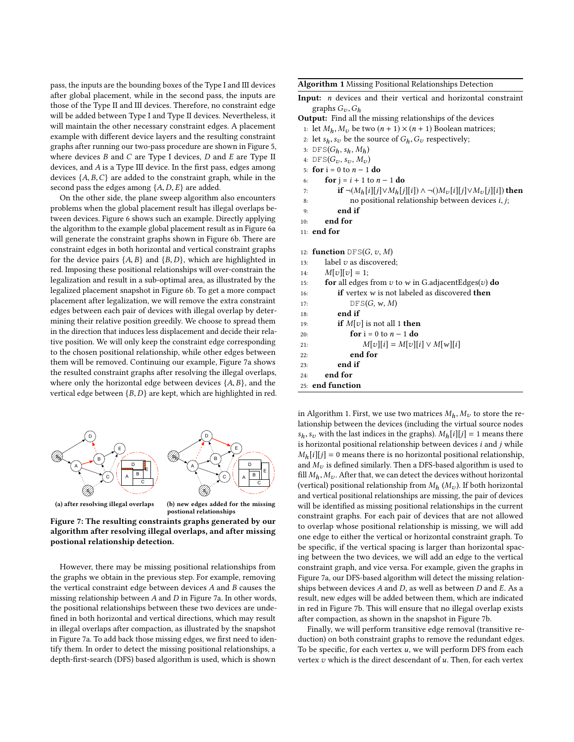pass, the inputs are the bounding boxes of the Type I and III devices after global placement, while in the second pass, the inputs are those of the Type II and III devices. Therefore, no constraint edge will be added between Type I and Type II devices. Nevertheless, it will maintain the other necessary constraint edges. A placement example with different device layers and the resulting constraint graphs after running our two-pass procedure are shown in Figure [5,](#page-3-4) where devices  $B$  and  $C$  are Type I devices,  $D$  and  $E$  are Type II devices, and A is a Type III device. In the first pass, edges among devices  $\{A, B, C\}$  are added to the constraint graph, while in the second pass the edges among  $\{A, D, E\}$  are added.

On the other side, the plane sweep algorithm also encounters problems when the global placement result has illegal overlaps between devices. Figure [6](#page-3-5) shows such an example. Directly applying the algorithm to the example global placement result as in Figure [6a](#page-3-6) will generate the constraint graphs shown in Figure [6b.](#page-3-7) There are constraint edges in both horizontal and vertical constraint graphs for the device pairs  $\{A, B\}$  and  $\{B, D\}$ , which are highlighted in red. Imposing these positional relationships will over-constrain the legalization and result in a sub-optimal area, as illustrated by the legalized placement snapshot in Figure [6b.](#page-3-7) To get a more compact placement after legalization, we will remove the extra constraint edges between each pair of devices with illegal overlap by determining their relative position greedily. We choose to spread them in the direction that induces less displacement and decide their relative position. We will only keep the constraint edge corresponding to the chosen positional relationship, while other edges between them will be removed. Continuing our example, Figure [7a](#page-4-0) shows the resulted constraint graphs after resolving the illegal overlaps, where only the horizontal edge between devices  $\{A, B\}$ , and the vertical edge between  ${B, D}$  are kept, which are highlighted in red.

<span id="page-4-0"></span>

<span id="page-4-2"></span>postional relationships

Figure 7: The resulting constraints graphs generated by our algorithm after resolving illegal overlaps, and after missing postional relationship detection.

However, there may be missing positional relationships from the graphs we obtain in the previous step. For example, removing the vertical constraint edge between devices A and B causes the missing relationship between  $A$  and  $D$  in Figure [7a.](#page-4-0) In other words, the positional relationships between these two devices are undefined in both horizontal and vertical directions, which may result in illegal overlaps after compaction, as illustrated by the snapshot in Figure [7a.](#page-4-0) To add back those missing edges, we first need to identify them. In order to detect the missing positional relationships, a depth-first-search (DFS) based algorithm is used, which is shown

<span id="page-4-1"></span>Algorithm 1 Missing Positional Relationships Detection

- Input: n devices and their vertical and horizontal constraint graphs  $G_v$ ,  $G_h$
- Output: Find all the missing relationships of the devices
- 1: let  $M_h$ ,  $M_v$  be two  $(n + 1) \times (n + 1)$  Boolean matrices;
- 2: let  $s_h, s_v$  be the source of  $G_h, G_v$  respectively;
- 3: DFS( $G_h$ ,  $s_h$ ,  $M_h$ )
- 4:  $\text{DFS}(G_v, s_v, M_v)$
- 5: **for**  $i = 0$  to  $n 1$  **do**<br>6: **for**  $i = i + 1$  to *n*
- 
- 6: **for**  $j = i + 1$  to  $n 1$  **do**<br>7: **if**  $\neg(M_h[i][j] \lor M_h[j])$
- 7: **if**  $\neg(M_h[i][j] \lor M_h[j][i]) \land \neg(M_v[i][j] \lor M_v[j][i])$  then no positional relationship between devices *i*, *j*; 8: no positional relationship between devices *i*, *j*;<br> $\qquad \qquad \mathbf{end}$  **if**
- end if
- 10: end for

```
11: end for
```
- 12: **function**  $DFS(G, v, M)$ <br>13: **label** v as discovered
- 13: label v as discovered;<br>14:  $M[v][v] = 1$ : 14:  $M[v][v] = 1;$ <br>15: **for** all edges
- 15: **for** all edges from  $v$  to  $w$  in G.adjacentEdges( $v$ ) **do**<br>16: **if** vertex  $w$  is not labeled as discovered **then**
- 16: **if** vertex *w* is not labeled as discovered **then** 17:  $DFS(G, w, M)$
- 17:  $DFS(G, w, M)$ <br>18: **end if** end if
- 19: **if**  $M[v]$  is not all 1 **then**<br>20: **for**  $i = 0$  to  $n 1$  **do**
- 20: **for**  $i = 0$  to  $n 1$  **do**<br>21:  $M[v][i] = M[v][$
- 21:  $M[v][i] = M[v][i] \vee M[w][i]$ <br>22: **end for**
- end for
- 23: end if
- 24: end for 25: end function

in Algorithm [1.](#page-4-1) First, we use two matrices  $M_h$ ,  $M_v$  to store the relationship between the devices (including the virtual source nodes  $s_h, s_v$  with the last indices in the graphs).  $M_h[i][j] = 1$  means there is horizontal positional relationship between devices  $i$  and  $j$  while  $M_h[i][j] = 0$  means there is no horizontal positional relationship, and  $M_{\nu}$  is defined similarly. Then a DFS-based algorithm is used to fill  $M_h$ ,  $M_v$ . After that, we can detect the devices without horizontal (vertical) positional relationship from  $M_h$  ( $M_v$ ). If both horizontal and vertical positional relationships are missing, the pair of devices will be identified as missing positional relationships in the current constraint graphs. For each pair of devices that are not allowed to overlap whose positional relationship is missing, we will add one edge to either the vertical or horizontal constraint graph. To be specific, if the vertical spacing is larger than horizontal spacing between the two devices, we will add an edge to the vertical constraint graph, and vice versa. For example, given the graphs in Figure [7a,](#page-4-0) our DFS-based algorithm will detect the missing relationships between devices  $A$  and  $D$ , as well as between  $D$  and  $E$ . As a result, new edges will be added between them, which are indicated in red in Figure [7b.](#page-4-2) This will ensure that no illegal overlap exists after compaction, as shown in the snapshot in Figure [7b.](#page-4-2)

Finally, we will perform transitive edge removal (transitive reduction) on both constraint graphs to remove the redundant edges. To be specific, for each vertex  $u$ , we will perform DFS from each vertex  $v$  which is the direct descendant of  $u$ . Then, for each vertex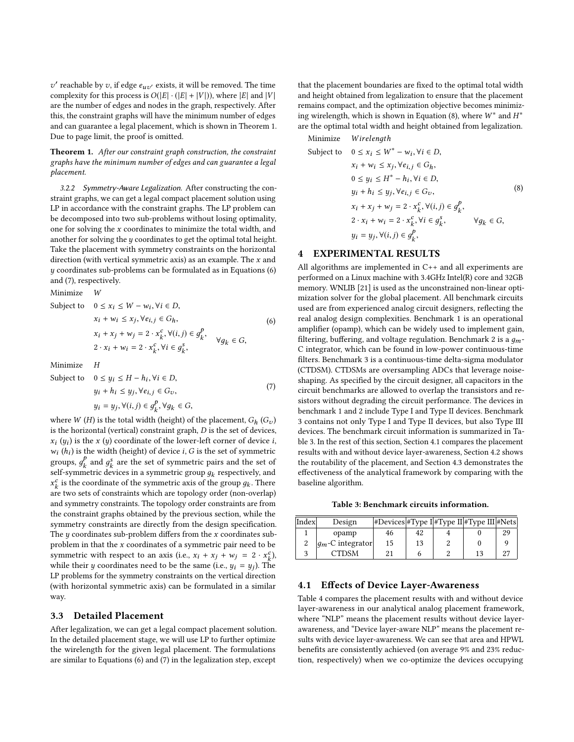complexity for this process is  $O(|E| \cdot (|E| + |V|))$ , where  $|E|$  and  $|V|$ <br>are the number of edges and nodes in the graph, respectively. After ' reachable by v, if edge  $e_{uv'}$  exists, it will be removed. The time<br>property for this process is  $O(|E|, (|E| + |V|))$  where  $|E|$  and  $|V|$ are the number of edges and nodes in the graph, respectively. After this, the constraint graphs will have the minimum number of edges and can guarantee a legal placement, which is shown in Theorem [1.](#page-5-1) Due to page limit, the proof is omitted.

<span id="page-5-1"></span>Theorem 1. After our constraint graph construction, the constraint graphs have the minimum number of edges and can guarantee a legal placement.

3.2.2 Symmetry-Aware Legalization. After constructing the constraint graphs, we can get a legal compact placement solution using LP in accordance with the constraint graphs. The LP problem can be decomposed into two sub-problems without losing optimality, one for solving the x coordinates to minimize the total width, and another for solving the  $y$  coordinates to get the optimal total height. Take the placement with symmetry constraints on the horizontal direction (with vertical symmetric axis) as an example. The  $x$  and y coordinates sub-problems can be formulated as in Equations [\(6\)](#page-5-2) and [\(7\)](#page-5-3), respectively.

Minimize W

Subject to 
$$
0 \le x_i \le W - w_i, \forall i \in D,
$$
  
\n $x_i + w_i \le x_j, \forall e_{i,j} \in G_h,$   
\n $x_i + x_j + w_j = 2 \cdot x_k^c, \forall (i, j) \in g_k^P,$   
\n $2 \cdot x_i + w_i = 2 \cdot x_k^c, \forall i \in g_k^s,$   
\n $\forall g_k \in G,$  (6)

Minimize H

Subject to 
$$
0 \le y_i \le H - h_i, \forall i \in D,
$$
  
\n $y_i + h_i \le y_j, \forall e_{i,j} \in G_v,$   
\n $y_i = y_j, \forall (i, j) \in g_k^P, \forall g_k \in G,$  (7)

where  $W(H)$  is the total width (height) of the placement,  $G_h(G_v)$ <br>is the horizontal (vertical) constraint graph  $D$  is the set of devices is the horizontal (vertical) constraint graph, D is the set of devices,  $w_i(h_i)$  is the width (height) of device i, G is the set of symmetric<br>groups  $e^p$  and  $e^s$  are the set of symmetric pairs and the set of  $(y_i)$  is the x  $(y)$  coordinate of the lower-left corner of device i,  $(h \cdot)$  is the width (height) of device i. G is the set of symmetric groups,  $g_k^p$  and  $g_s^s$  are the set of symmetric pairs and the set of self-symmetric devices in a symmetric group  $a_k$  reconstituely and self-symmetric devices in a symmetric group  $g_k$  respectively, and  $x^c$  is the coordinate of the symmetric axis of the group  $g_k$ . There  $x_k$  are two sets of constraints which are topology order (non-overlap)  $\frac{c}{k}$  is the coordinate of the symmetric axis of the group  $g_k$ . There  $\frac{c}{k}$  as two sets of constraints which are topology order (pop-overlap) and symmetry constraints. The topology order constraints are from the constraint graphs obtained by the previous section, while the symmetry constraints are directly from the design specification. The  $y$  coordinates sub-problem differs from the  $x$  coordinates subproblem in that the  $x$  coordinates of a symmetric pair need to be symmetric with respect to an axis (i.e.,  $x_i + x_j + w_j = 2 \cdot x_k^c$ ),<br>while their u coordinates need to be the same (i.e.,  $u_i = u_j$ ). The while their y coordinates need to be the same (i.e.,  $y_i = y_j$ ). The symbology of the symmetry constraints on the vertical direction LP problems for the symmetry constraints on the vertical direction (with horizontal symmetric axis) can be formulated in a similar way.

# 3.3 Detailed Placement

After legalization, we can get a legal compact placement solution. In the detailed placement stage, we will use LP to further optimize the wirelength for the given legal placement. The formulations are similar to Equations [\(6\)](#page-5-2) and [\(7\)](#page-5-3) in the legalization step, except

that the placement boundaries are fixed to the optimal total width and height obtained from legalization to ensure that the placement remains compact, and the optimization objective becomes minimiz-ing wirelength, which is shown in Equation [\(8\)](#page-5-4), where  $W^*$  and  $H^*$ <br>are the optimal total width and height obtained from legalization are the optimal total width and height obtained from legalization.

<span id="page-5-4"></span>Minimize *Wirelength*<br>Subject to  $0 \le x_i \le W^i$ Subject to  $0 \le x_i \le W^* - w_i, \forall i \in D$ ,  $x_i + w_i \leq x_j, \forall e_{i,j} \in G_h,$  $0 \le y_i \le H^* - h_i, \forall i \in D,$  $y_i + h_i \leq y_j, \forall e_{i,j} \in G_v,$  $x_i + x_j + w_j = 2 \cdot x_k^c, \forall (i, j) \in g_k^p,$  $2 \cdot x_i + w_i = 2 \cdot x_k^c, \forall i \in g_k^s,$  $y_i = y_j, \forall (i, j) \in g_k^p,$ <sup>∀</sup>дk <sup>∈</sup> <sup>G</sup>, (8)

# <span id="page-5-0"></span>4 EXPERIMENTAL RESULTS

<span id="page-5-3"></span><span id="page-5-2"></span>All algorithms are implemented in C++ and all experiments are performed on a Linux machine with 3.4GHz Intel(R) core and 32GB memory. WNLIB [\[21\]](#page-7-15) is used as the unconstrained non-linear optimization solver for the global placement. All benchmark circuits used are from experienced analog circuit designers, reflecting the real analog design complexities. Benchmark 1 is an operational amplifier (opamp), which can be widely used to implement gain, filtering, buffering, and voltage regulation. Benchmark 2 is a  $q_m$ -C integrator, which can be found in low-power continuous-time filters. Benchmark 3 is a continuous-time delta-sigma modulator (CTDSM). CTDSMs are oversampling ADCs that leverage noiseshaping. As specified by the circuit designer, all capacitors in the circuit benchmarks are allowed to overlap the transistors and resistors without degrading the circuit performance. The devices in benchmark 1 and 2 include Type I and Type II devices. Benchmark 3 contains not only Type I and Type II devices, but also Type III devices. The benchmark circuit information is summarized in Table [3.](#page-5-5) In the rest of this section, Section [4.1](#page-5-6) compares the placement results with and without device layer-awareness, Section [4.2](#page-6-1) shows the routability of the placement, and Section [4.3](#page-6-2) demonstrates the effectiveness of the analytical framework by comparing with the baseline algorithm.

Table 3: Benchmark circuits information.

<span id="page-5-5"></span>

| Index | Design               | #Devices #Type I #Type II #Type III #Nets |    |  |    |
|-------|----------------------|-------------------------------------------|----|--|----|
|       | opamp                | 46                                        | 42 |  | 29 |
|       | $ q_m$ -C integrator | 15                                        | 13 |  |    |
|       | CTDSM                |                                           |    |  |    |

### <span id="page-5-6"></span>4.1 Effects of Device Layer-Awareness

Table [4](#page-7-16) compares the placement results with and without device layer-awareness in our analytical analog placement framework, where "NLP" means the placement results without device layerawareness, and "Device layer-aware NLP" means the placement results with device layer-awareness. We can see that area and HPWL benefits are consistently achieved (on average 9% and 23% reduction, respectively) when we co-optimize the devices occupying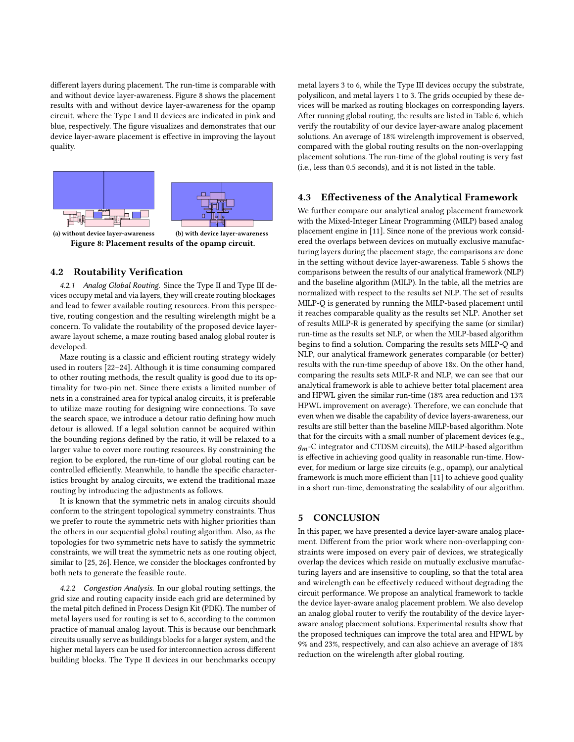different layers during placement. The run-time is comparable with and without device layer-awareness. Figure [8](#page-6-3) shows the placement results with and without device layer-awareness for the opamp circuit, where the Type I and II devices are indicated in pink and blue, respectively. The figure visualizes and demonstrates that our device layer-aware placement is effective in improving the layout quality.

<span id="page-6-3"></span>

Figure 8: Placement results of the opamp circuit.

# <span id="page-6-1"></span>4.2 Routability Verification

4.2.1 Analog Global Routing. Since the Type II and Type III devices occupy metal and via layers, they will create routing blockages and lead to fewer available routing resources. From this perspective, routing congestion and the resulting wirelength might be a concern. To validate the routability of the proposed device layeraware layout scheme, a maze routing based analog global router is developed.

Maze routing is a classic and efficient routing strategy widely used in routers [\[22–](#page-7-17)[24\]](#page-7-18). Although it is time consuming compared to other routing methods, the result quality is good due to its optimality for two-pin net. Since there exists a limited number of nets in a constrained area for typical analog circuits, it is preferable to utilize maze routing for designing wire connections. To save the search space, we introduce a detour ratio defining how much detour is allowed. If a legal solution cannot be acquired within the bounding regions defined by the ratio, it will be relaxed to a larger value to cover more routing resources. By constraining the region to be explored, the run-time of our global routing can be controlled efficiently. Meanwhile, to handle the specific characteristics brought by analog circuits, we extend the traditional maze routing by introducing the adjustments as follows.

It is known that the symmetric nets in analog circuits should conform to the stringent topological symmetry constraints. Thus we prefer to route the symmetric nets with higher priorities than the others in our sequential global routing algorithm. Also, as the topologies for two symmetric nets have to satisfy the symmetric constraints, we will treat the symmetric nets as one routing object, similar to [\[25,](#page-7-19) [26\]](#page-7-20). Hence, we consider the blockages confronted by both nets to generate the feasible route.

4.2.2 Congestion Analysis. In our global routing settings, the grid size and routing capacity inside each grid are determined by the metal pitch defined in Process Design Kit (PDK). The number of metal layers used for routing is set to 6, according to the common practice of manual analog layout. This is because our benchmark circuits usually serve as buildings blocks for a larger system, and the higher metal layers can be used for interconnection across different building blocks. The Type II devices in our benchmarks occupy metal layers 3 to 6, while the Type III devices occupy the substrate, polysilicon, and metal layers 1 to 3. The grids occupied by these devices will be marked as routing blockages on corresponding layers. After running global routing, the results are listed in Table [6,](#page-7-21) which verify the routability of our device layer-aware analog placement solutions. An average of 18% wirelength improvement is observed, compared with the global routing results on the non-overlapping placement solutions. The run-time of the global routing is very fast (i.e., less than 0.5 seconds), and it is not listed in the table.

### <span id="page-6-2"></span>4.3 Effectiveness of the Analytical Framework

We further compare our analytical analog placement framework with the Mixed-Integer Linear Programming (MILP) based analog placement engine in [\[11\]](#page-7-6). Since none of the previous work considered the overlaps between devices on mutually exclusive manufacturing layers during the placement stage, the comparisons are done in the setting without device layer-awareness. Table [5](#page-7-22) shows the comparisons between the results of our analytical framework (NLP) and the baseline algorithm (MILP). In the table, all the metrics are normalized with respect to the results set NLP. The set of results MILP-Q is generated by running the MILP-based placement until it reaches comparable quality as the results set NLP. Another set of results MILP-R is generated by specifying the same (or similar) run-time as the results set NLP, or when the MILP-based algorithm begins to find a solution. Comparing the results sets MILP-Q and NLP, our analytical framework generates comparable (or better) results with the run-time speedup of above 18x. On the other hand, comparing the results sets MILP-R and NLP, we can see that our analytical framework is able to achieve better total placement area and HPWL given the similar run-time (18% area reduction and 13% HPWL improvement on average). Therefore, we can conclude that even when we disable the capability of device layers-awareness, our results are still better than the baseline MILP-based algorithm. Note that for the circuits with a small number of placement devices (e.g.,  $g_m$ -C integrator and CTDSM circuits), the MILP-based algorithm is effective in achieving good quality in reasonable run-time. However, for medium or large size circuits (e.g., opamp), our analytical framework is much more efficient than [\[11\]](#page-7-6) to achieve good quality in a short run-time, demonstrating the scalability of our algorithm.

### <span id="page-6-0"></span>5 CONCLUSION

In this paper, we have presented a device layer-aware analog placement. Different from the prior work where non-overlapping constraints were imposed on every pair of devices, we strategically overlap the devices which reside on mutually exclusive manufacturing layers and are insensitive to coupling, so that the total area and wirelength can be effectively reduced without degrading the circuit performance. We propose an analytical framework to tackle the device layer-aware analog placement problem. We also develop an analog global router to verify the routability of the device layeraware analog placement solutions. Experimental results show that the proposed techniques can improve the total area and HPWL by 9% and 23%, respectively, and can also achieve an average of 18% reduction on the wirelength after global routing.